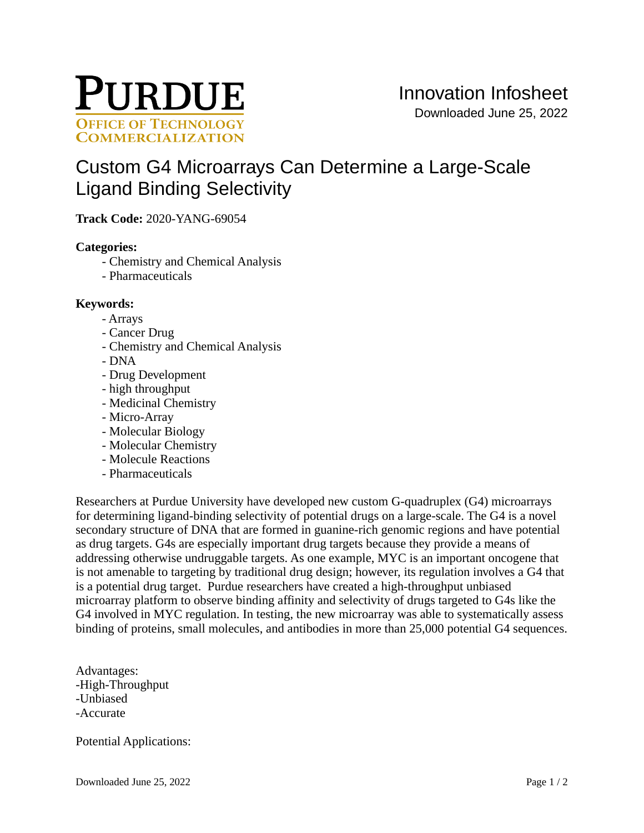

# [Custom G4 Microarrays Can Determine a Large-Scale](https://inventions.prf.org/innovation/7664)  [Ligand Binding Selectivity](https://inventions.prf.org/innovation/7664)

**Track Code:** 2020-YANG-69054

### **Categories:**

- Chemistry and Chemical Analysis
- Pharmaceuticals

# **Keywords:**

- Arrays
- Cancer Drug
- Chemistry and Chemical Analysis
- DNA
- Drug Development
- high throughput
- Medicinal Chemistry
- Micro-Array
- Molecular Biology
- Molecular Chemistry
- Molecule Reactions
- Pharmaceuticals

Researchers at Purdue University have developed new custom G-quadruplex (G4) microarrays for determining ligand-binding selectivity of potential drugs on a large-scale. The G4 is a novel secondary structure of DNA that are formed in guanine-rich genomic regions and have potential as drug targets. G4s are especially important drug targets because they provide a means of addressing otherwise undruggable targets. As one example, MYC is an important oncogene that is not amenable to targeting by traditional drug design; however, its regulation involves a G4 that is a potential drug target. Purdue researchers have created a high-throughput unbiased microarray platform to observe binding affinity and selectivity of drugs targeted to G4s like the G4 involved in MYC regulation. In testing, the new microarray was able to systematically assess binding of proteins, small molecules, and antibodies in more than 25,000 potential G4 sequences.

Advantages: -High-Throughput -Unbiased -Accurate

Potential Applications: